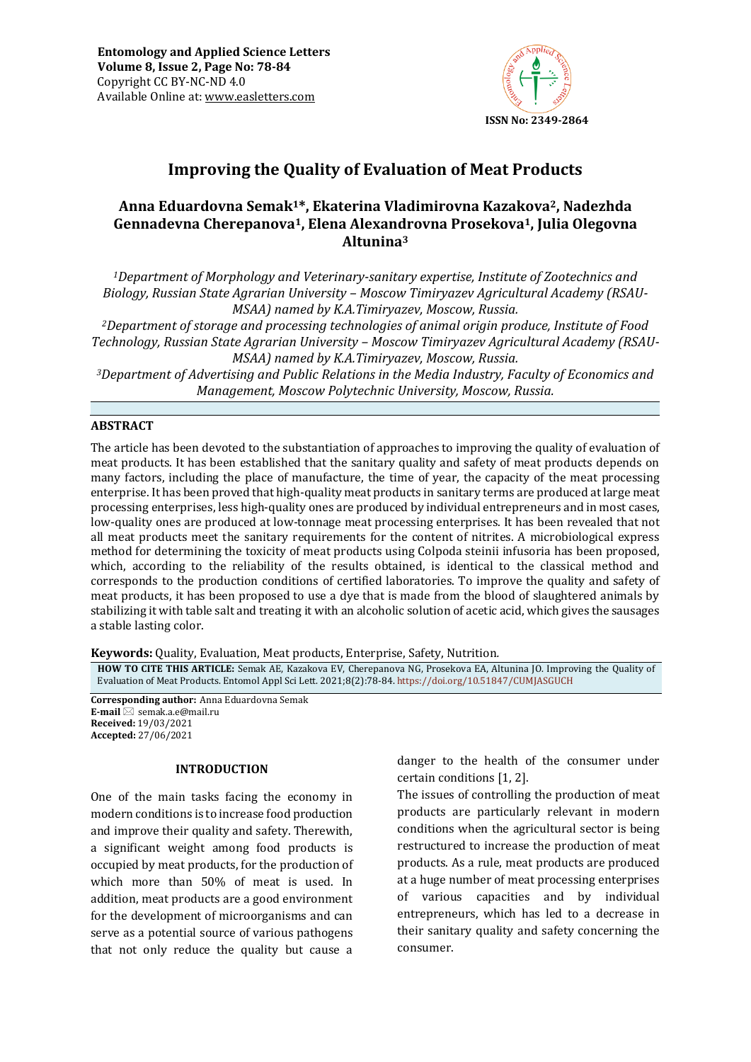

# **Improving the Quality of Evaluation of Meat Products**

## **Anna Eduardovna Semak1\*, Ekaterina Vladimirovna Kazakova2, Nadezhda Gennadevna Cherepanova1, Elena Alexandrovna Prosekova1, Julia Olegovna Altunina<sup>3</sup>**

*<sup>1</sup>Department of Morphology and Veterinary-sanitary expertise, Institute of Zootechnics and Biology, Russian State Agrarian University – Moscow Timiryazev Agricultural Academy (RSAU-MSAA) named by K.A.Timiryazev, Moscow, Russia.*

*<sup>2</sup>Department of storage and processing technologies of animal origin produce, Institute of Food Technology, Russian State Agrarian University – Moscow Timiryazev Agricultural Academy (RSAU-MSAA) named by K.A.Timiryazev, Moscow, Russia.*

*<sup>3</sup>Department of Advertising and Public Relations in the Media Industry, Faculty of Economics and Management, Moscow Polytechnic University, Moscow, Russia.*

### **ABSTRACT**

The article has been devoted to the substantiation of approaches to improving the quality of evaluation of meat products. It has been established that the sanitary quality and safety of meat products depends on many factors, including the place of manufacture, the time of year, the capacity of the meat processing enterprise. It has been proved that high-quality meat products in sanitary terms are produced at large meat processing enterprises, less high-quality ones are produced by individual entrepreneurs and in most cases, low-quality ones are produced at low-tonnage meat processing enterprises. It has been revealed that not all meat products meet the sanitary requirements for the content of nitrites. A microbiological express method for determining the toxicity of meat products using Colpoda steinii infusoria has been proposed, which, according to the reliability of the results obtained, is identical to the classical method and corresponds to the production conditions of certified laboratories. To improve the quality and safety of meat products, it has been proposed to use a dye that is made from the blood of slaughtered animals by stabilizing it with table salt and treating it with an alcoholic solution of acetic acid, which gives the sausages a stable lasting color.

**Keywords:** Quality, Evaluation, Meat products, Enterprise, Safety, Nutrition*.*

**HOW TO CITE THIS ARTICLE:** Semak AE, Kazakova EV, Cherepanova NG, Prosekova EA, Altunina JO. Improving the Quality of Evaluation of Meat Products. Entomol Appl Sci Lett. 2021;8(2):78-84. <https://doi.org/10.51847/CUMJASGUCH>

**Corresponding author:** Anna Eduardovna Semak **E-mail** ⊠ semak.a.e@mail.ru **Received:** 19/03/2021 **Accepted:** 27/06/2021

### **INTRODUCTION**

One of the main tasks facing the economy in modern conditions is to increase food production and improve their quality and safety. Therewith, a significant weight among food products is occupied by meat products, for the production of which more than 50% of meat is used. In addition, meat products are a good environment for the development of microorganisms and can serve as a potential source of various pathogens that not only reduce the quality but cause a danger to the health of the consumer under certain conditions [1, 2].

The issues of controlling the production of meat products are particularly relevant in modern conditions when the agricultural sector is being restructured to increase the production of meat products. As a rule, meat products are produced at a huge number of meat processing enterprises of various capacities and by individual entrepreneurs, which has led to a decrease in their sanitary quality and safety concerning the consumer.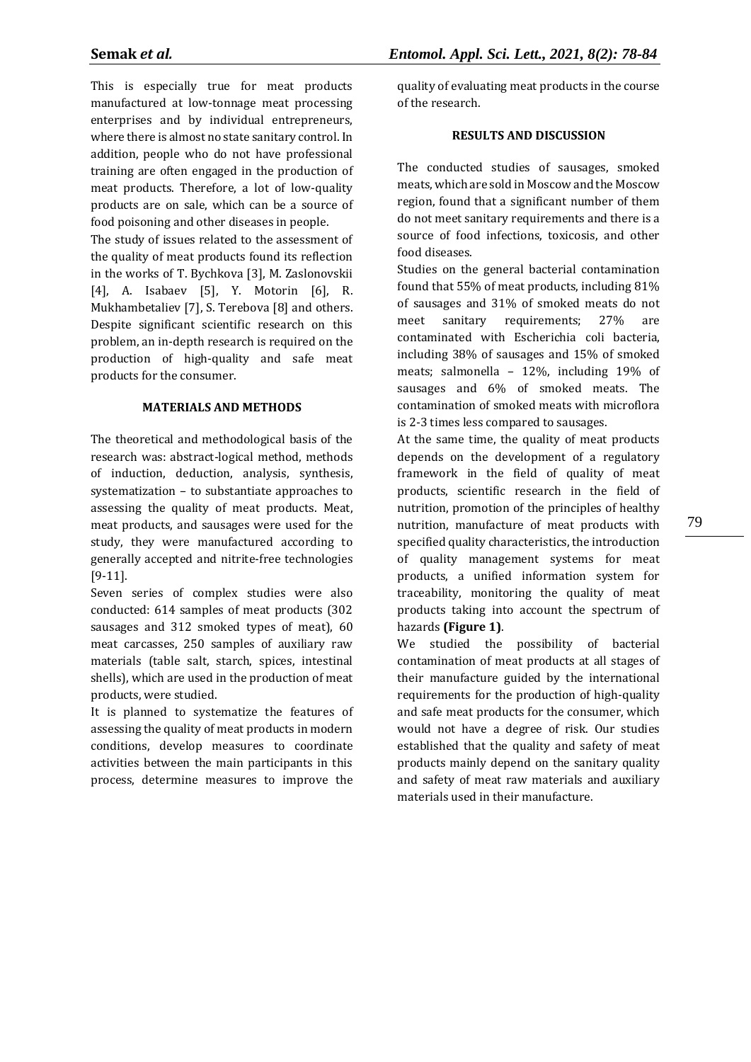This is especially true for meat products manufactured at low-tonnage meat processing enterprises and by individual entrepreneurs, where there is almost no state sanitary control. In addition, people who do not have professional training are often engaged in the production of meat products. Therefore, a lot of low-quality products are on sale, which can be a source of food poisoning and other diseases in people.

The study of issues related to the assessment of the quality of meat products found its reflection in the works of T. Bychkova [3], M. Zaslonovskii [4], A. Isabaev [5], Y. Motorin [6], R. Mukhambetaliev [7], S. Terebova [8] and others. Despite significant scientific research on this problem, an in-depth research is required on the production of high-quality and safe meat products for the consumer.

#### **MATERIALS AND METHODS**

The theoretical and methodological basis of the research was: abstract-logical method, methods of induction, deduction, analysis, synthesis, systematization – to substantiate approaches to assessing the quality of meat products. Meat, meat products, and sausages were used for the study, they were manufactured according to generally accepted and nitrite-free technologies [9-11].

Seven series of complex studies were also conducted: 614 samples of meat products (302 sausages and 312 smoked types of meat), 60 meat carcasses, 250 samples of auxiliary raw materials (table salt, starch, spices, intestinal shells), which are used in the production of meat products, were studied.

It is planned to systematize the features of assessing the quality of meat products in modern conditions, develop measures to coordinate activities between the main participants in this process, determine measures to improve the

quality of evaluating meat products in the course of the research.

#### **RESULTS AND DISCUSSION**

The conducted studies of sausages, smoked meats, which are sold in Moscow and the Moscow region, found that a significant number of them do not meet sanitary requirements and there is a source of food infections, toxicosis, and other food diseases.

Studies on the general bacterial contamination found that 55% of meat products, including 81% of sausages and 31% of smoked meats do not meet sanitary requirements; 27% are contaminated with Escherichia coli bacteria, including 38% of sausages and 15% of smoked meats; salmonella – 12%, including 19% of sausages and 6% of smoked meats. The contamination of smoked meats with microflora is 2-3 times less compared to sausages.

At the same time, the quality of meat products depends on the development of a regulatory framework in the field of quality of meat products, scientific research in the field of nutrition, promotion of the principles of healthy nutrition, manufacture of meat products with specified quality characteristics, the introduction of quality management systems for meat products, a unified information system for traceability, monitoring the quality of meat products taking into account the spectrum of hazards **(Figure 1)**.

We studied the possibility of bacterial contamination of meat products at all stages of their manufacture guided by the international requirements for the production of high-quality and safe meat products for the consumer, which would not have a degree of risk. Our studies established that the quality and safety of meat products mainly depend on the sanitary quality and safety of meat raw materials and auxiliary materials used in their manufacture.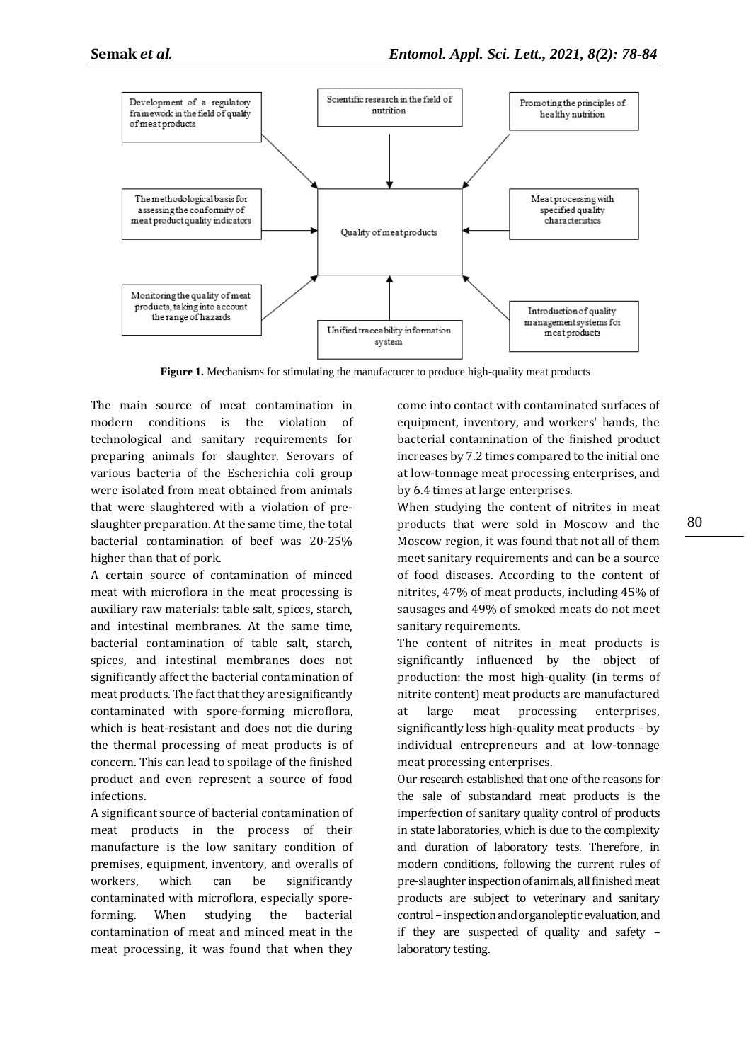

**Figure 1.** Mechanisms for stimulating the manufacturer to produce high-quality meat products

The main source of meat contamination in modern conditions is the violation of technological and sanitary requirements for preparing animals for slaughter. Serovars of various bacteria of the Escherichia coli group were isolated from meat obtained from animals that were slaughtered with a violation of preslaughter preparation. At the same time, the total bacterial contamination of beef was 20-25% higher than that of pork.

A certain source of contamination of minced meat with microflora in the meat processing is auxiliary raw materials: table salt, spices, starch, and intestinal membranes. At the same time, bacterial contamination of table salt, starch, spices, and intestinal membranes does not significantly affect the bacterial contamination of meat products. The fact that they are significantly contaminated with spore-forming microflora, which is heat-resistant and does not die during the thermal processing of meat products is of concern. This can lead to spoilage of the finished product and even represent a source of food infections.

A significant source of bacterial contamination of meat products in the process of their manufacture is the low sanitary condition of premises, equipment, inventory, and overalls of workers, which can be significantly contaminated with microflora, especially sporeforming. When studying the bacterial contamination of meat and minced meat in the meat processing, it was found that when they

come into contact with contaminated surfaces of equipment, inventory, and workers' hands, the bacterial contamination of the finished product increases by 7.2 times compared to the initial one at low-tonnage meat processing enterprises, and by 6.4 times at large enterprises.

When studying the content of nitrites in meat products that were sold in Moscow and the Moscow region, it was found that not all of them meet sanitary requirements and can be a source of food diseases. According to the content of nitrites, 47% of meat products, including 45% of sausages and 49% of smoked meats do not meet sanitary requirements.

The content of nitrites in meat products is significantly influenced by the object of production: the most high-quality (in terms of nitrite content) meat products are manufactured at large meat processing enterprises, significantly less high-quality meat products – by individual entrepreneurs and at low-tonnage meat processing enterprises.

Our research established that one of the reasons for the sale of substandard meat products is the imperfection of sanitary quality control of products in state laboratories, which is due to the complexity and duration of laboratory tests. Therefore, in modern conditions, following the current rules of pre-slaughter inspection of animals, all finished meat products are subject to veterinary and sanitary control – inspection and organoleptic evaluation, and if they are suspected of quality and safety  $$ laboratory testing.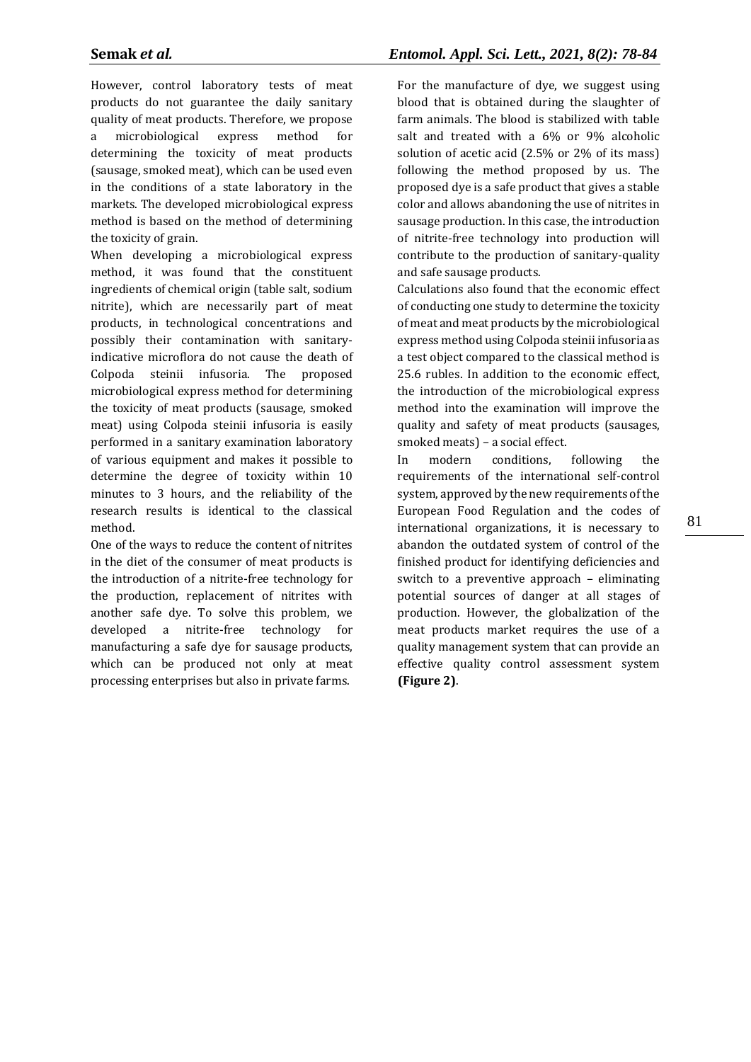However, control laboratory tests of meat products do not guarantee the daily sanitary quality of meat products. Therefore, we propose a microbiological express method for determining the toxicity of meat products (sausage, smoked meat), which can be used even in the conditions of a state laboratory in the markets. The developed microbiological express method is based on the method of determining the toxicity of grain.

When developing a microbiological express method, it was found that the constituent ingredients of chemical origin (table salt, sodium nitrite), which are necessarily part of meat products, in technological concentrations and possibly their contamination with sanitaryindicative microflora do not cause the death of Colpoda steinii infusoria. The proposed microbiological express method for determining the toxicity of meat products (sausage, smoked meat) using Colpoda steinii infusoria is easily performed in a sanitary examination laboratory of various equipment and makes it possible to determine the degree of toxicity within 10 minutes to 3 hours, and the reliability of the research results is identical to the classical method.

One of the ways to reduce the content of nitrites in the diet of the consumer of meat products is the introduction of a nitrite-free technology for the production, replacement of nitrites with another safe dye. To solve this problem, we developed a nitrite-free technology for manufacturing a safe dye for sausage products, which can be produced not only at meat processing enterprises but also in private farms.

## **Semak** *et al.**Entomol. Appl. Sci. Lett., 2021, 8(2): 78-84*

For the manufacture of dye, we suggest using blood that is obtained during the slaughter of farm animals. The blood is stabilized with table salt and treated with a 6% or 9% alcoholic solution of acetic acid (2.5% or 2% of its mass) following the method proposed by us. The proposed dye is a safe product that gives a stable color and allows abandoning the use of nitrites in sausage production. In this case, the introduction of nitrite-free technology into production will contribute to the production of sanitary-quality and safe sausage products.

Calculations also found that the economic effect of conducting one study to determine the toxicity of meat and meat products by the microbiological express method using Colpoda steinii infusoria as a test object compared to the classical method is 25.6 rubles. In addition to the economic effect, the introduction of the microbiological express method into the examination will improve the quality and safety of meat products (sausages, smoked meats) – a social effect.

In modern conditions, following the requirements of the international self-control system, approved by the new requirements of the European Food Regulation and the codes of international organizations, it is necessary to abandon the outdated system of control of the finished product for identifying deficiencies and switch to a preventive approach – eliminating potential sources of danger at all stages of production. However, the globalization of the meat products market requires the use of a quality management system that can provide an effective quality control assessment system **(Figure 2)**.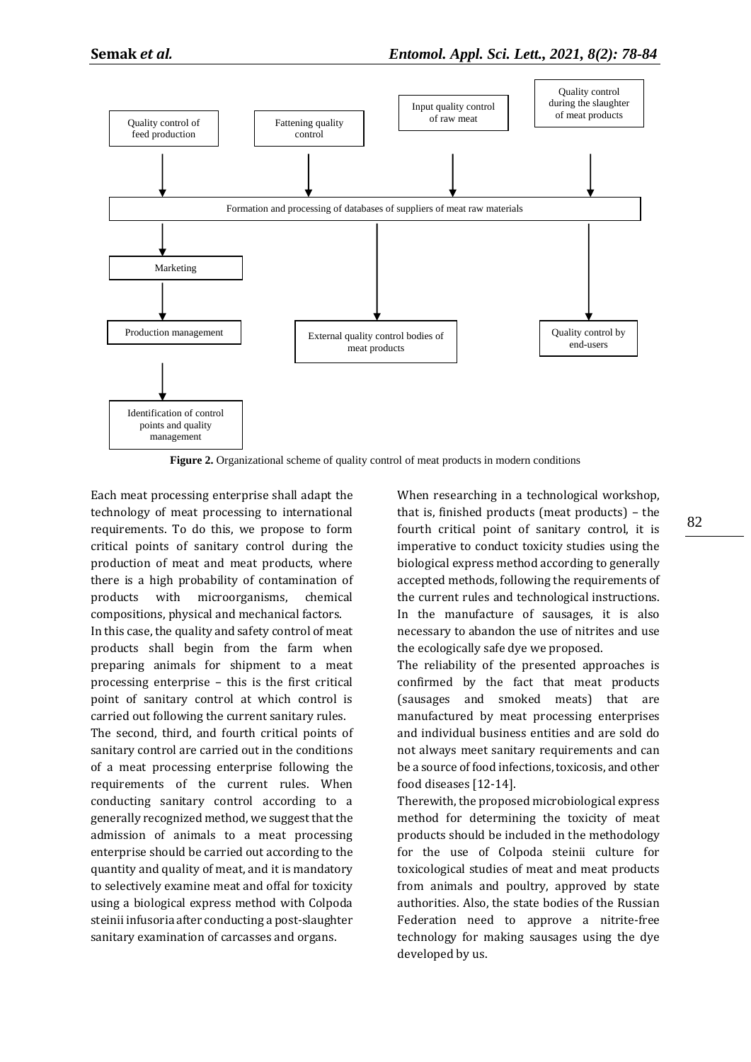

**Figure 2.** Organizational scheme of quality control of meat products in modern conditions

Each meat processing enterprise shall adapt the technology of meat processing to international requirements. To do this, we propose to form critical points of sanitary control during the production of meat and meat products, where there is a high probability of contamination of products with microorganisms, chemical compositions, physical and mechanical factors.

In this case, the quality and safety control of meat products shall begin from the farm when preparing animals for shipment to a meat processing enterprise – this is the first critical point of sanitary control at which control is carried out following the current sanitary rules.

The second, third, and fourth critical points of sanitary control are carried out in the conditions of a meat processing enterprise following the requirements of the current rules. When conducting sanitary control according to a generally recognized method, we suggest that the admission of animals to a meat processing enterprise should be carried out according to the quantity and quality of meat, and it is mandatory to selectively examine meat and offal for toxicity using a biological express method with Colpoda steinii infusoria after conducting a post-slaughter sanitary examination of carcasses and organs.

When researching in a technological workshop, that is, finished products (meat products) – the fourth critical point of sanitary control, it is imperative to conduct toxicity studies using the biological express method according to generally accepted methods, following the requirements of the current rules and technological instructions. In the manufacture of sausages, it is also necessary to abandon the use of nitrites and use the ecologically safe dye we proposed.

The reliability of the presented approaches is confirmed by the fact that meat products (sausages and smoked meats) that are manufactured by meat processing enterprises and individual business entities and are sold do not always meet sanitary requirements and can be a source of food infections, toxicosis, and other food diseases [12-14].

Therewith, the proposed microbiological express method for determining the toxicity of meat products should be included in the methodology for the use of Colpoda steinii culture for toxicological studies of meat and meat products from animals and poultry, approved by state authorities. Also, the state bodies of the Russian Federation need to approve a nitrite-free technology for making sausages using the dye developed by us.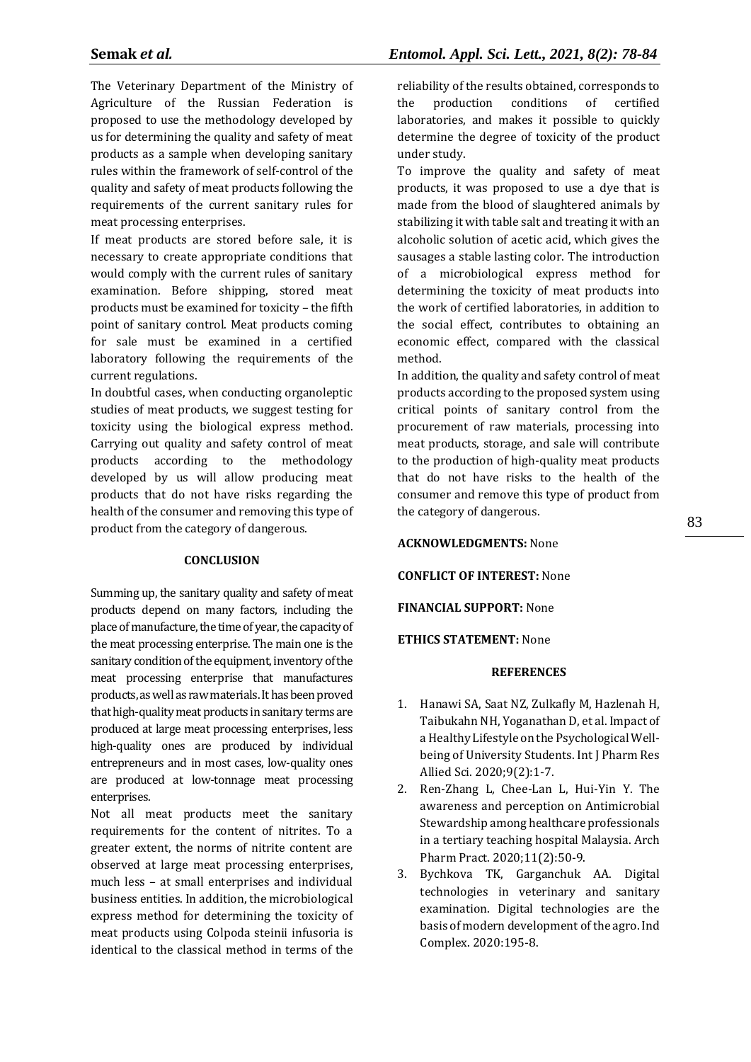The Veterinary Department of the Ministry of Agriculture of the Russian Federation is proposed to use the methodology developed by us for determining the quality and safety of meat products as a sample when developing sanitary rules within the framework of self-control of the quality and safety of meat products following the requirements of the current sanitary rules for meat processing enterprises.

If meat products are stored before sale, it is necessary to create appropriate conditions that would comply with the current rules of sanitary examination. Before shipping, stored meat products must be examined for toxicity – the fifth point of sanitary control. Meat products coming for sale must be examined in a certified laboratory following the requirements of the current regulations.

In doubtful cases, when conducting organoleptic studies of meat products, we suggest testing for toxicity using the biological express method. Carrying out quality and safety control of meat products according to the methodology developed by us will allow producing meat products that do not have risks regarding the health of the consumer and removing this type of product from the category of dangerous.

### **CONCLUSION**

Summing up, the sanitary quality and safety of meat products depend on many factors, including the place of manufacture, the time of year, the capacity of the meat processing enterprise. The main one is the sanitary condition of the equipment, inventory of the meat processing enterprise that manufactures products, as well as raw materials. It has been proved that high-quality meat products in sanitary terms are produced at large meat processing enterprises, less high-quality ones are produced by individual entrepreneurs and in most cases, low-quality ones are produced at low-tonnage meat processing enterprises.

Not all meat products meet the sanitary requirements for the content of nitrites. To a greater extent, the norms of nitrite content are observed at large meat processing enterprises, much less – at small enterprises and individual business entities. In addition, the microbiological express method for determining the toxicity of meat products using Colpoda steinii infusoria is identical to the classical method in terms of the

reliability of the results obtained, corresponds to the production conditions of certified laboratories, and makes it possible to quickly determine the degree of toxicity of the product under study.

To improve the quality and safety of meat products, it was proposed to use a dye that is made from the blood of slaughtered animals by stabilizing it with table salt and treating it with an alcoholic solution of acetic acid, which gives the sausages a stable lasting color. The introduction of a microbiological express method for determining the toxicity of meat products into the work of certified laboratories, in addition to the social effect, contributes to obtaining an economic effect, compared with the classical method.

In addition, the quality and safety control of meat products according to the proposed system using critical points of sanitary control from the procurement of raw materials, processing into meat products, storage, and sale will contribute to the production of high-quality meat products that do not have risks to the health of the consumer and remove this type of product from the category of dangerous.

**ACKNOWLEDGMENTS:** None

**CONFLICT OF INTEREST:** None

**FINANCIAL SUPPORT:** None

### **ETHICS STATEMENT:** None

### **REFERENCES**

- 1. Hanawi SA, Saat NZ, Zulkafly M, Hazlenah H, Taibukahn NH, Yoganathan D, et al. Impact of a Healthy Lifestyle on the Psychological Wellbeing of University Students. Int J Pharm Res Allied Sci. 2020;9(2):1-7.
- 2. Ren-Zhang L, Chee-Lan L, Hui-Yin Y. The awareness and perception on Antimicrobial Stewardship among healthcare professionals in a tertiary teaching hospital Malaysia. Arch Pharm Pract. 2020;11(2):50-9.
- 3. Bychkova TK, Garganchuk AA. Digital technologies in veterinary and sanitary examination. Digital technologies are the basis of modern development of the agro. Ind Complex. 2020:195-8.